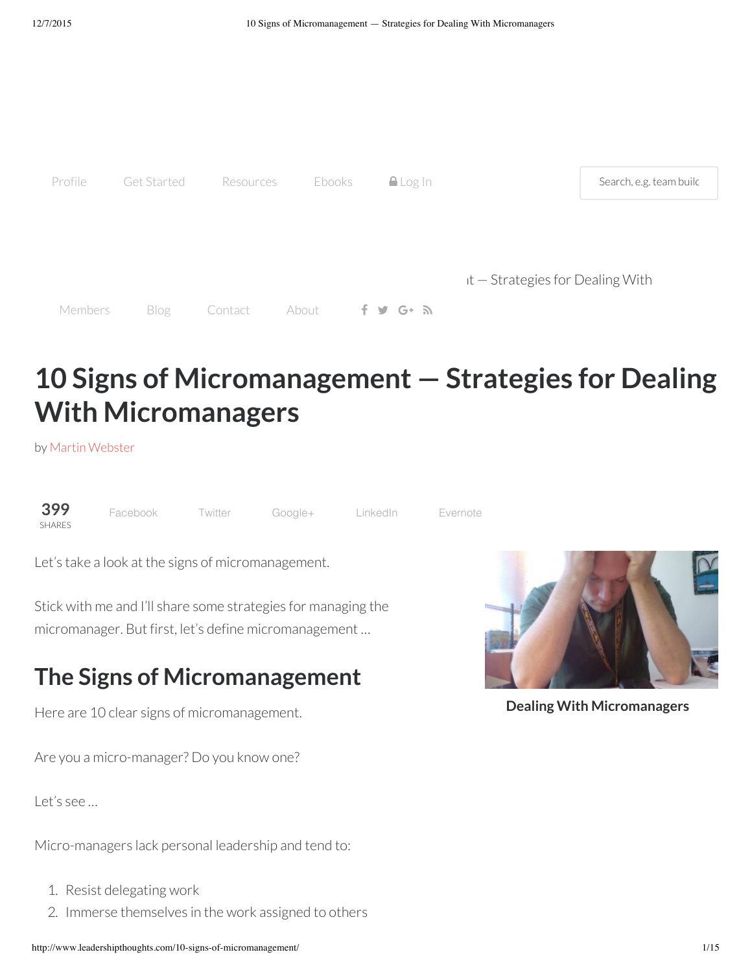

# **10 Signs of Micromanagement — Strategies for Dealing With Micromanagers**

by Martin [Webster](http://www.leadershipthoughts.com/author/martinwebster/)



[Facebook](http://www.facebook.com/sharer/sharer.php?u=http://www.leadershipthoughts.com/10-signs-of-micromanagement/&t=10+Signs+of+Micromanagement+%E2%80%94+Strategies+for+Dealing+With+Micromanagers) Twitter [Google+](https://plus.google.com/share?url=http://www.leadershipthoughts.com/10-signs-of-micromanagement/) [LinkedIn](http://www.linkedin.com/shareArticle?mini=true&ro=true&trk=EasySocialShareButtons&title=10+Signs+of+Micromanagement+%E2%80%94+Strategies+for+Dealing+With+Micromanagers&url=http://www.leadershipthoughts.com/10-signs-of-micromanagement/) [Evernote](http://www.evernote.com/clip.action?url=http://www.leadershipthoughts.com/10-signs-of-micromanagement/&title=10+Signs+of+Micromanagement+%E2%80%94+Strategies+for+Dealing+With+Micromanagers)

Let's take a look at the signs of micromanagement.

Stick with me and I'll share some strategies for managing the micromanager. But first, let's define micromanagement …

# **The Signs of Micromanagement**

Here are 10 clear signs of micromanagement.

Are you a micro-manager? Do you know one?

Let's see …

Micro-managers lack personal leadership and tend to:

- 1. Resist delegating work
- 2. Immerse themselves in the work assigned to others



**Dealing With Micromanagers**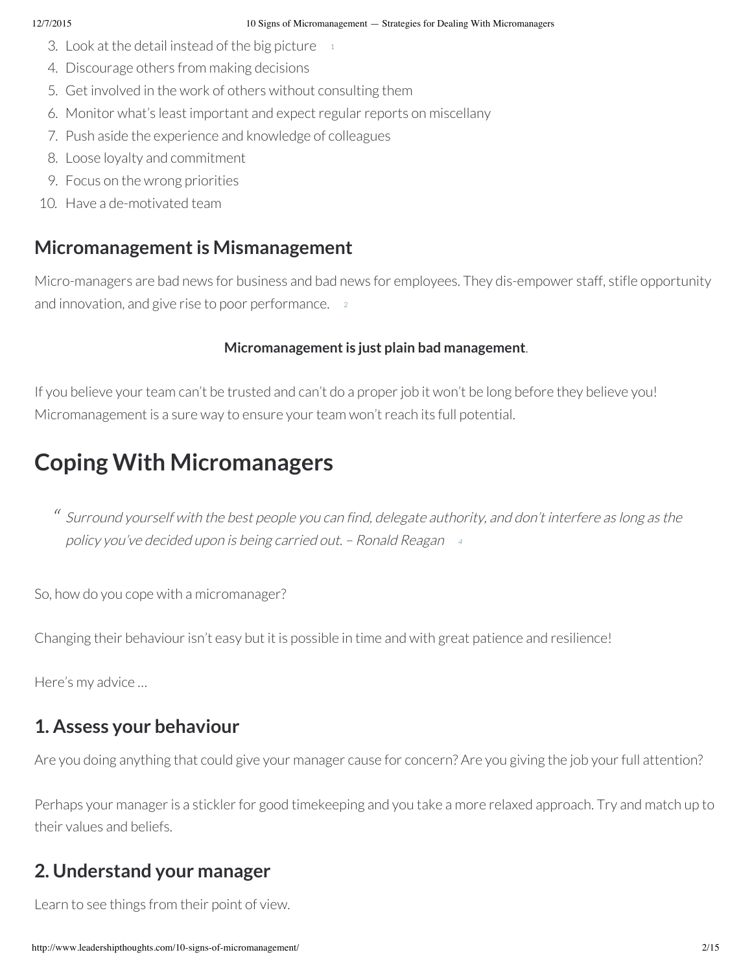- 3. Look at the detail instead of the big picture  $11$
- 4. Discourage others from making decisions
- 5. Get involved in the work of others without consulting them
- 6. Monitor what's least important and expect regular reports on miscellany
- 7. Push aside the experience and knowledge of colleagues
- 8. Loose loyalty and commitment
- 9. Focus on the wrong priorities
- 10. Have a de-motivated team

### **Micromanagement is Mismanagement**

Micro-managers are bad news for business and bad news for employees. They dis-empower staff, stifle opportunity and innovation, and give rise to poor performance.  $2$ 

### **Micromanagementis just plain bad management**.

If you believe your team can't be trusted and can't do a proper job it won't be long before they believe you! Micromanagement is a sure way to ensure your team won't reach its full potential.

# **Coping With Micromanagers**

 $\lq\lq$  Surround yourself with the best people you can find, delegate authority, and don't interfere as long as the policy you've decided upon is being carried out. – Ronald Reagan <sup>4</sup>

So, how do you cope with a micromanager?

Changing their behaviour isn't easy but it is possible in time and with great patience and resilience!

Here's my advice …

### **1. Assess your behaviour**

Are you doing anything that could give your manager cause for concern? Are you giving the job your full attention?

Perhaps your manager is a stickler for good timekeeping and you take a more relaxed approach. Try and match up to their values and beliefs.

### **2. Understand your manager**

Learn to see things from their point of view.